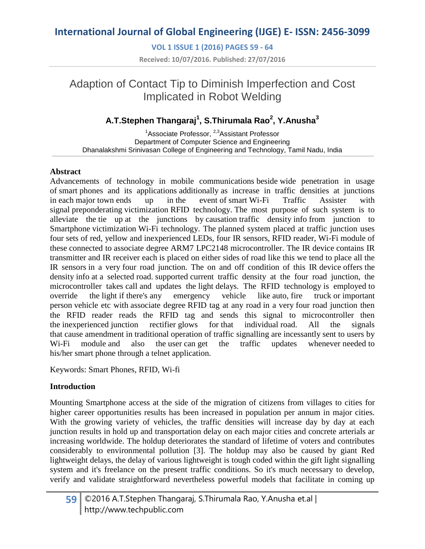**VOL 1 ISSUE 1 (2016) PAGES 59 - 64 Received: 10/07/2016. Published: 27/07/2016**

## Adaption of Contact Tip to Diminish Imperfection and Cost Implicated in Robot Welding

### **A.T.Stephen Thangaraj<sup>1</sup> , S.Thirumala Rao<sup>2</sup> , Y.Anusha<sup>3</sup>**

<sup>1</sup>Associate Professor, <sup>2,3</sup>Assistant Professor Department of Computer Science and Engineering Dhanalakshmi Srinivasan College of Engineering and Technology, Tamil Nadu, India

#### **Abstract**

Advancements of technology in mobile communications beside wide penetration in usage of smart phones and its applications additionally as increase in traffic densities at junctions in each major town ends up in the event of smart Wi-Fi Traffic Assister with signal preponderating victimization RFID technology. The most purpose of such system is to alleviate the tie up at the junctions by causation traffic density info from junction to Smartphone victimization Wi-Fi technology. The planned system placed at traffic junction uses four sets of red, yellow and inexperienced LEDs, four IR sensors, RFID reader, Wi-Fi module of these connected to associate degree ARM7 LPC2148 microcontroller. The IR device contains IR transmitter and IR receiver each is placed on either sides of road like this we tend to place all the IR sensors in a very four road junction. The on and off condition of this IR device offers the density info at a selected road. supported current traffic density at the four road junction, the microcontroller takes call and updates the light delays. The RFID technology is employed to override the light if there's any emergency vehicle like auto, fire truck or important person vehicle etc with associate degree RFID tag at any road in a very four road junction then the RFID reader reads the RFID tag and sends this signal to microcontroller then the inexperienced junction rectifier glows for that individual road. All the signals that cause amendment in traditional operation of traffic signalling are incessantly sent to users by Wi-Fi module and also the user can get the traffic updates whenever needed to his/her smart phone through a telnet application.

Keywords: Smart Phones, RFID, Wi-fi

#### **Introduction**

Mounting Smartphone access at the side of the migration of citizens from villages to cities for higher career opportunities results has been increased in population per annum in major cities. With the growing variety of vehicles, the traffic densities will increase day by day at each junction results in hold up and transportation delay on each major cities and concrete arterials ar increasing worldwide. The holdup deteriorates the standard of lifetime of voters and contributes considerably to environmental pollution [3]. The holdup may also be caused by giant Red lightweight delays, the delay of various lightweight is tough coded within the gift light signalling system and it's freelance on the present traffic conditions. So it's much necessary to develop, verify and validate straightforward nevertheless powerful models that facilitate in coming up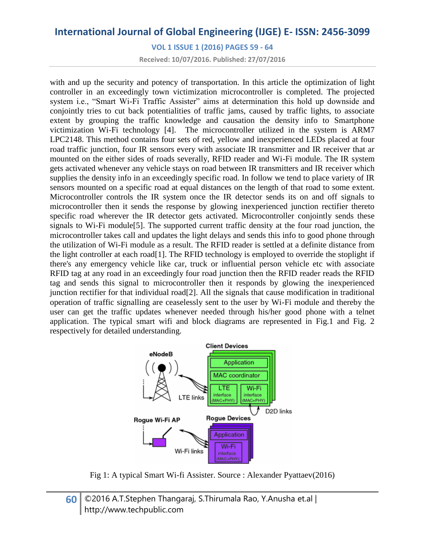**VOL 1 ISSUE 1 (2016) PAGES 59 - 64**

**Received: 10/07/2016. Published: 27/07/2016**

with and up the security and potency of transportation. In this article the optimization of light controller in an exceedingly town victimization microcontroller is completed. The projected system i.e., "Smart Wi-Fi Traffic Assister" aims at determination this hold up downside and conjointly tries to cut back potentialities of traffic jams, caused by traffic lights, to associate extent by grouping the traffic knowledge and causation the density info to Smartphone victimization Wi-Fi technology [4]. The microcontroller utilized in the system is ARM7 LPC2148. This method contains four sets of red, yellow and inexperienced LEDs placed at four road traffic junction, four IR sensors every with associate IR transmitter and IR receiver that ar mounted on the either sides of roads severally, RFID reader and Wi-Fi module. The IR system gets activated whenever any vehicle stays on road between IR transmitters and IR receiver which supplies the density info in an exceedingly specific road. In follow we tend to place variety of IR sensors mounted on a specific road at equal distances on the length of that road to some extent. Microcontroller controls the IR system once the IR detector sends its on and off signals to microcontroller then it sends the response by glowing inexperienced junction rectifier thereto specific road wherever the IR detector gets activated. Microcontroller conjointly sends these signals to Wi-Fi module[5]. The supported current traffic density at the four road junction, the microcontroller takes call and updates the light delays and sends this info to good phone through the utilization of Wi-Fi module as a result. The RFID reader is settled at a definite distance from the light controller at each road[1]. The RFID technology is employed to override the stoplight if there's any emergency vehicle like car, truck or influential person vehicle etc with associate RFID tag at any road in an exceedingly four road junction then the RFID reader reads the RFID tag and sends this signal to microcontroller then it responds by glowing the inexperienced junction rectifier for that individual road[2]. All the signals that cause modification in traditional operation of traffic signalling are ceaselessly sent to the user by Wi-Fi module and thereby the user can get the traffic updates whenever needed through his/her good phone with a telnet application. The typical smart wifi and block diagrams are represented in Fig.1 and Fig. 2 respectively for detailed understanding.



Fig 1: A typical Smart Wi-fi Assister. Source : Alexander Pyattaev(2016)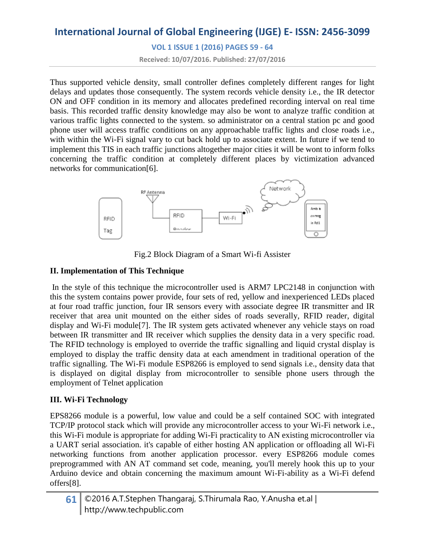**VOL 1 ISSUE 1 (2016) PAGES 59 - 64**

**Received: 10/07/2016. Published: 27/07/2016**

Thus supported vehicle density, small controller defines completely different ranges for light delays and updates those consequently. The system records vehicle density i.e., the IR detector ON and OFF condition in its memory and allocates predefined recording interval on real time basis. This recorded traffic density knowledge may also be wont to analyze traffic condition at various traffic lights connected to the system. so administrator on a central station pc and good phone user will access traffic conditions on any approachable traffic lights and close roads i.e., with within the Wi-Fi signal vary to cut back hold up to associate extent. In future if we tend to implement this TIS in each traffic junctions altogether major cities it will be wont to inform folks concerning the traffic condition at completely different places by victimization advanced networks for communication[6].



Fig.2 Block Diagram of a Smart Wi-fi Assister

#### **II. Implementation of This Technique**

In the style of this technique the microcontroller used is ARM7 LPC2148 in conjunction with this the system contains power provide, four sets of red, yellow and inexperienced LEDs placed at four road traffic junction, four IR sensors every with associate degree IR transmitter and IR receiver that area unit mounted on the either sides of roads severally, RFID reader, digital display and Wi-Fi module[7]. The IR system gets activated whenever any vehicle stays on road between IR transmitter and IR receiver which supplies the density data in a very specific road. The RFID technology is employed to override the traffic signalling and liquid crystal display is employed to display the traffic density data at each amendment in traditional operation of the traffic signalling. The Wi-Fi module ESP8266 is employed to send signals i.e., density data that is displayed on digital display from microcontroller to sensible phone users through the employment of Telnet application

#### **III. Wi-Fi Technology**

EPS8266 module is a powerful, low value and could be a self contained SOC with integrated TCP/IP protocol stack which will provide any microcontroller access to your Wi-Fi network i.e., this Wi-Fi module is appropriate for adding Wi-Fi practicality to AN existing microcontroller via a UART serial association. it's capable of either hosting AN application or offloading all Wi-Fi networking functions from another application processor. every ESP8266 module comes preprogrammed with AN AT command set code, meaning, you'll merely hook this up to your Arduino device and obtain concerning the maximum amount Wi-Fi-ability as a Wi-Fi defend offers[8].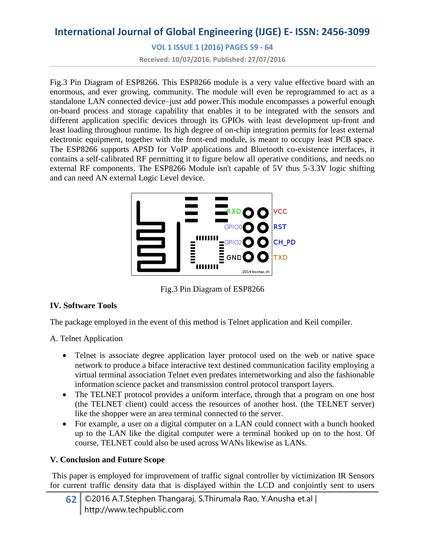**VOL 1 ISSUE 1 (2016) PAGES 59 - 64**

**Received: 10/07/2016. Published: 27/07/2016**

Fig.3 Pin Diagram of ESP8266. This ESP8266 module is a very value effective board with an enormous, and ever growing, community. The module will even be reprogrammed to act as a standalone LAN connected device–just add power.This module encompasses a powerful enough on-board process and storage capability that enables it to be integrated with the sensors and different application specific devices through its GPIOs with least development up-front and least loading throughout runtime. Its high degree of on-chip integration permits for least external electronic equipment, together with the front-end module, is meant to occupy least PCB space. The ESP8266 supports APSD for VoIP applications and Bluetooth co-existence interfaces, it contains a self-calibrated RF permitting it to figure below all operative conditions, and needs no external RF components. The ESP8266 Module isn't capable of 5V thus 5-3.3V logic shifting and can need AN external Logic Level device.



Fig.3 Pin Diagram of ESP8266

#### **IV. Software Tools**

The package employed in the event of this method is Telnet application and Keil compiler.

A. Telnet Application

- Telnet is associate degree application layer protocol used on the web or native space network to produce a biface interactive text destined communication facility employing a virtual terminal association Telnet even predates internetworking and also the fashionable information science packet and transmission control protocol transport layers.
- The TELNET protocol provides a uniform interface, through that a program on one host (the TELNET client) could access the resources of another host. (the TELNET server) like the shopper were an area terminal connected to the server.
- For example, a user on a digital computer on a LAN could connect with a bunch hooked up to the LAN like the digital computer were a terminal hooked up on to the host. Of course, TELNET could also be used across WANs likewise as LANs.

#### **V. Conclusion and Future Scope**

This paper is employed for improvement of traffic signal controller by victimization IR Sensors for current traffic density data that is displayed within the LCD and conjointly sent to users

**62** ©2016 A.T.Stephen Thangaraj, S.Thirumala Rao, Y.Anusha et.al | http://www.techpublic.com